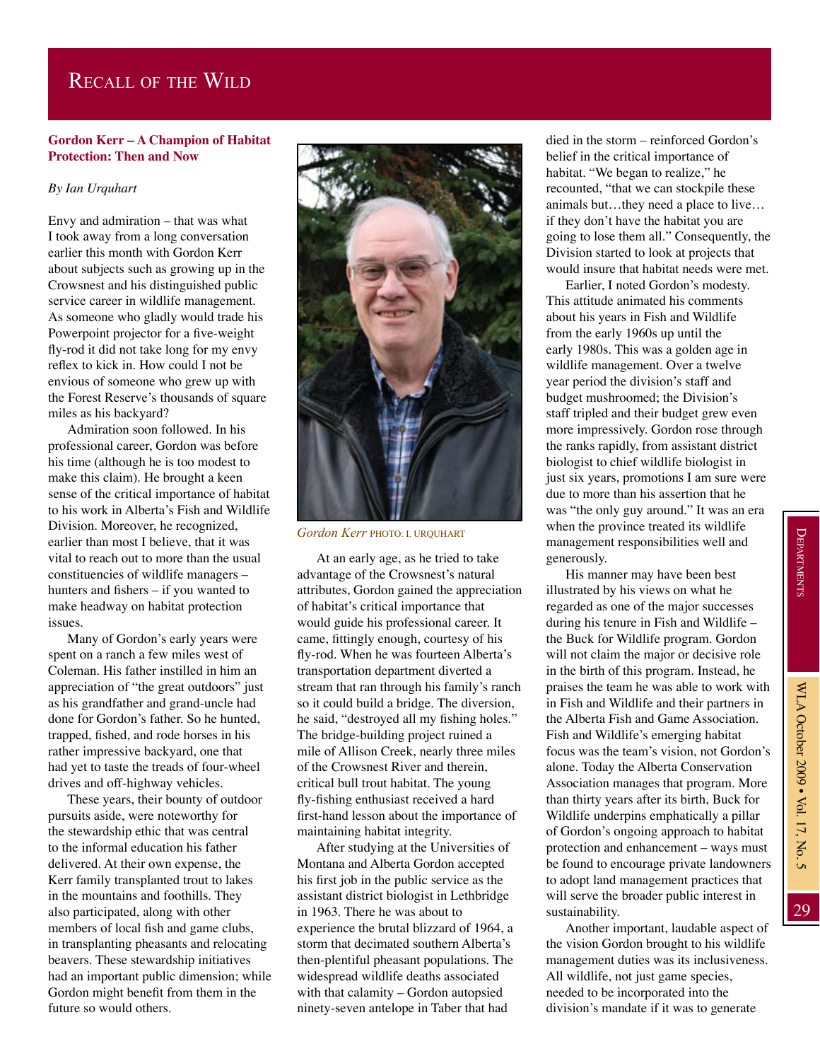## Recall of the Wild

## **Gordon Kerr – A Champion of Habitat Protection: Then and Now**

## *By Ian Urquhart*

Envy and admiration – that was what I took away from a long conversation earlier this month with Gordon Kerr about subjects such as growing up in the Crowsnest and his distinguished public service career in wildlife management. As someone who gladly would trade his Powerpoint projector for a five-weight fly-rod it did not take long for my envy reflex to kick in. How could I not be envious of someone who grew up with the Forest Reserve's thousands of square miles as his backyard?

Admiration soon followed. In his professional career, Gordon was before his time (although he is too modest to make this claim). He brought a keen sense of the critical importance of habitat to his work in Alberta's Fish and Wildlife Division. Moreover, he recognized, earlier than most I believe, that it was vital to reach out to more than the usual constituencies of wildlife managers – hunters and fishers – if you wanted to make headway on habitat protection issues.

Many of Gordon's early years were spent on a ranch a few miles west of Coleman. His father instilled in him an appreciation of "the great outdoors" just as his grandfather and grand-uncle had done for Gordon's father. So he hunted, trapped, fished, and rode horses in his rather impressive backyard, one that had yet to taste the treads of four-wheel drives and off-highway vehicles.

These years, their bounty of outdoor pursuits aside, were noteworthy for the stewardship ethic that was central to the informal education his father delivered. At their own expense, the Kerr family transplanted trout to lakes in the mountains and foothills. They also participated, along with other members of local fish and game clubs, in transplanting pheasants and relocating beavers. These stewardship initiatives had an important public dimension; while Gordon might benefit from them in the future so would others.



*Gordon Kerr* PHOTO: I. Urquhart

At an early age, as he tried to take advantage of the Crowsnest's natural attributes, Gordon gained the appreciation of habitat's critical importance that would guide his professional career. It came, fittingly enough, courtesy of his fly-rod. When he was fourteen Alberta's transportation department diverted a stream that ran through his family's ranch so it could build a bridge. The diversion, he said, "destroyed all my fishing holes." The bridge-building project ruined a mile of Allison Creek, nearly three miles of the Crowsnest River and therein, critical bull trout habitat. The young fly-fishing enthusiast received a hard first-hand lesson about the importance of maintaining habitat integrity.

After studying at the Universities of Montana and Alberta Gordon accepted his first job in the public service as the assistant district biologist in Lethbridge in 1963. There he was about to experience the brutal blizzard of 1964, a storm that decimated southern Alberta's then-plentiful pheasant populations. The widespread wildlife deaths associated with that calamity – Gordon autopsied ninety-seven antelope in Taber that had

died in the storm – reinforced Gordon's belief in the critical importance of habitat. "We began to realize," he recounted, "that we can stockpile these animals but…they need a place to live… if they don't have the habitat you are going to lose them all." Consequently, the Division started to look at projects that would insure that habitat needs were met.

Earlier, I noted Gordon's modesty. This attitude animated his comments about his years in Fish and Wildlife from the early 1960s up until the early 1980s. This was a golden age in wildlife management. Over a twelve year period the division's staff and budget mushroomed; the Division's staff tripled and their budget grew even more impressively. Gordon rose through the ranks rapidly, from assistant district biologist to chief wildlife biologist in just six years, promotions I am sure were due to more than his assertion that he was "the only guy around." It was an era when the province treated its wildlife management responsibilities well and generously.

His manner may have been best illustrated by his views on what he regarded as one of the major successes during his tenure in Fish and Wildlife – the Buck for Wildlife program. Gordon will not claim the major or decisive role in the birth of this program. Instead, he praises the team he was able to work with in Fish and Wildlife and their partners in the Alberta Fish and Game Association. Fish and Wildlife's emerging habitat focus was the team's vision, not Gordon's alone. Today the Alberta Conservation Association manages that program. More than thirty years after its birth, Buck for Wildlife underpins emphatically a pillar of Gordon's ongoing approach to habitat protection and enhancement – ways must be found to encourage private landowners to adopt land management practices that will serve the broader public interest in sustainability.

Another important, laudable aspect of the vision Gordon brought to his wildlife management duties was its inclusiveness. All wildlife, not just game species, needed to be incorporated into the division's mandate if it was to generate

29